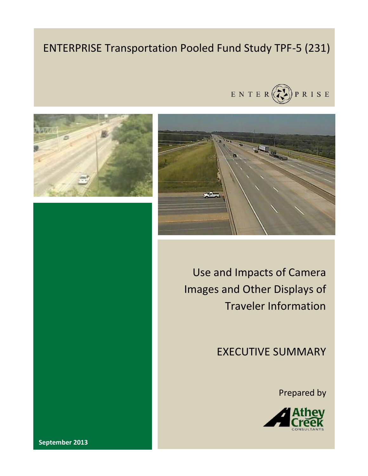# ENTERPRISE Transportation Pooled Fund Study TPF-5 (231)







Use and Impacts of Camera Images and Other Displays of Traveler Information

EXECUTIVE SUMMARY

Prepared by



**September 2013**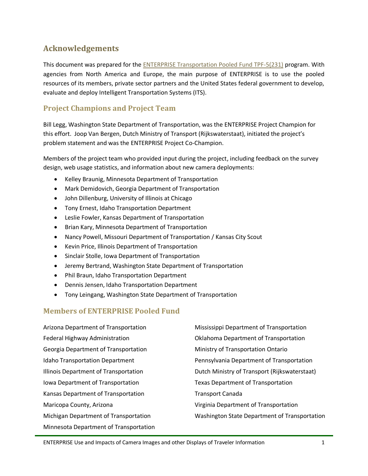# **Acknowledgements**

This document was prepared for the [ENTERPRISE Transportation Pooled Fund TPF-5\(231\)](http://www.enterprise.prog.org/) program. With agencies from North America and Europe, the main purpose of ENTERPRISE is to use the pooled resources of its members, private sector partners and the United States federal government to develop, evaluate and deploy Intelligent Transportation Systems (ITS).

## **Project Champions and Project Team**

Bill Legg, Washington State Department of Transportation, was the ENTERPRISE Project Champion for this effort. Joop Van Bergen, Dutch Ministry of Transport (Rijkswaterstaat), initiated the project's problem statement and was the ENTERPRISE Project Co-Champion.

Members of the project team who provided input during the project, including feedback on the survey design, web usage statistics, and information about new camera deployments:

- Kelley Braunig, Minnesota Department of Transportation
- Mark Demidovich, Georgia Department of Transportation
- John Dillenburg, University of Illinois at Chicago
- Tony Ernest, Idaho Transportation Department
- Leslie Fowler, Kansas Department of Transportation
- Brian Kary, Minnesota Department of Transportation
- Nancy Powell, Missouri Department of Transportation / Kansas City Scout
- Kevin Price, Illinois Department of Transportation
- Sinclair Stolle, Iowa Department of Transportation
- Jeremy Bertrand, Washington State Department of Transportation
- Phil Braun, Idaho Transportation Department
- Dennis Jensen, Idaho Transportation Department
- Tony Leingang, Washington State Department of Transportation

#### **Members of ENTERPRISE Pooled Fund**

| Arizona Department of Transportation   | Mississippi Department of Transportation      |
|----------------------------------------|-----------------------------------------------|
| Federal Highway Administration         | Oklahoma Department of Transportation         |
| Georgia Department of Transportation   | Ministry of Transportation Ontario            |
| <b>Idaho Transportation Department</b> | Pennsylvania Department of Transportation     |
| Illinois Department of Transportation  | Dutch Ministry of Transport (Rijkswaterstaat) |
| Iowa Department of Transportation      | <b>Texas Department of Transportation</b>     |
| Kansas Department of Transportation    | <b>Transport Canada</b>                       |
| Maricopa County, Arizona               | Virginia Department of Transportation         |
| Michigan Department of Transportation  | Washington State Department of Transportation |
|                                        |                                               |

Minnesota Department of Transportation

ENTERPRISE Use and Impacts of Camera Images and other Displays of Traveler Information 1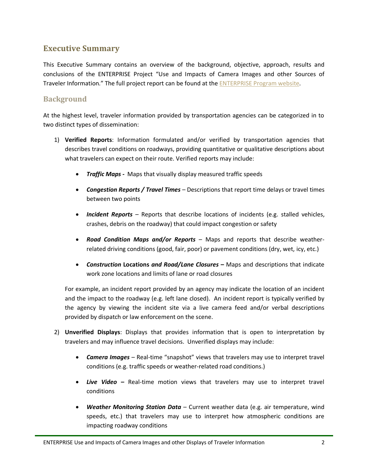# **Executive Summary**

This Executive Summary contains an overview of the background, objective, approach, results and conclusions of the ENTERPRISE Project "Use and Impacts of Camera Images and other Sources of Traveler Information." The full project report can be found at the [ENTERPRISE](http://enterprise.prog.org/Projects/2010_Present/interpretabletravelinfo.html) Program website.

#### **Background**

At the highest level, traveler information provided by transportation agencies can be categorized in to two distinct types of dissemination:

- 1) **Verified Reports**: Information formulated and/or verified by transportation agencies that describes travel conditions on roadways, providing quantitative or qualitative descriptions about what travelers can expect on their route. Verified reports may include:
	- *Traffic Maps -* Maps that visually display measured traffic speeds
	- *Congestion Reports / Travel Times* Descriptions that report time delays or travel times between two points
	- **•** Incident Reports Reports that describe locations of incidents (e.g. stalled vehicles, crashes, debris on the roadway) that could impact congestion or safety
	- *Road Condition Maps and/or Reports* Maps and reports that describe weatherrelated driving conditions (good, fair, poor) or pavement conditions (dry, wet, icy, etc.)
	- *Construction* **Locations** *and Road/Lane Closures –* Maps and descriptions that indicate work zone locations and limits of lane or road closures

For example, an incident report provided by an agency may indicate the location of an incident and the impact to the roadway (e.g. left lane closed). An incident report is typically verified by the agency by viewing the incident site via a live camera feed and/or verbal descriptions provided by dispatch or law enforcement on the scene.

- 2) **Unverified Displays**: Displays that provides information that is open to interpretation by travelers and may influence travel decisions. Unverified displays may include:
	- *Camera Images* Real-time "snapshot" views that travelers may use to interpret travel conditions (e.g. traffic speeds or weather-related road conditions.)
	- *Live Video –* Real-time motion views that travelers may use to interpret travel conditions
	- *Weather Monitoring Station Data* Current weather data (e.g. air temperature, wind speeds, etc.) that travelers may use to interpret how atmospheric conditions are impacting roadway conditions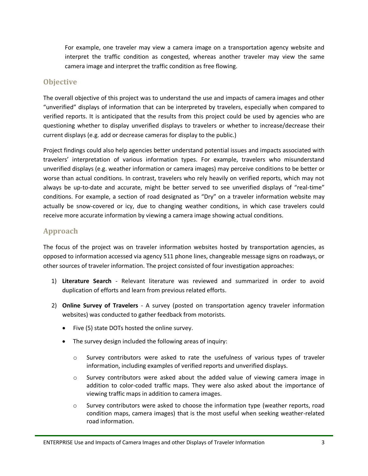For example, one traveler may view a camera image on a transportation agency website and interpret the traffic condition as congested, whereas another traveler may view the same camera image and interpret the traffic condition as free flowing.

## **Objective**

The overall objective of this project was to understand the use and impacts of camera images and other "unverified" displays of information that can be interpreted by travelers, especially when compared to verified reports. It is anticipated that the results from this project could be used by agencies who are questioning whether to display unverified displays to travelers or whether to increase/decrease their current displays (e.g. add or decrease cameras for display to the public.)

Project findings could also help agencies better understand potential issues and impacts associated with travelers' interpretation of various information types. For example, travelers who misunderstand unverified displays (e.g. weather information or camera images) may perceive conditions to be better or worse than actual conditions. In contrast, travelers who rely heavily on verified reports, which may not always be up-to-date and accurate, might be better served to see unverified displays of "real-time" conditions. For example, a section of road designated as "Dry" on a traveler information website may actually be snow-covered or icy, due to changing weather conditions, in which case travelers could receive more accurate information by viewing a camera image showing actual conditions.

## **Approach**

The focus of the project was on traveler information websites hosted by transportation agencies, as opposed to information accessed via agency 511 phone lines, changeable message signs on roadways, or other sources of traveler information. The project consisted of four investigation approaches:

- 1) **Literature Search** Relevant literature was reviewed and summarized in order to avoid duplication of efforts and learn from previous related efforts.
- 2) **Online Survey of Travelers** A survey (posted on transportation agency traveler information websites) was conducted to gather feedback from motorists.
	- Five (5) state DOTs hosted the online survey.
	- The survey design included the following areas of inquiry:
		- o Survey contributors were asked to rate the usefulness of various types of traveler information, including examples of verified reports and unverified displays.
		- $\circ$  Survey contributors were asked about the added value of viewing camera image in addition to color-coded traffic maps. They were also asked about the importance of viewing traffic maps in addition to camera images.
		- o Survey contributors were asked to choose the information type (weather reports, road condition maps, camera images) that is the most useful when seeking weather-related road information.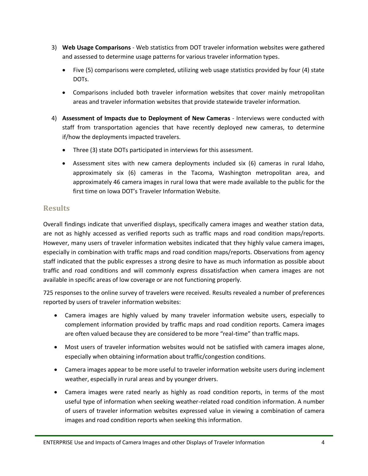- 3) **Web Usage Comparisons** Web statistics from DOT traveler information websites were gathered and assessed to determine usage patterns for various traveler information types.
	- Five (5) comparisons were completed, utilizing web usage statistics provided by four (4) state DOTs.
	- Comparisons included both traveler information websites that cover mainly metropolitan areas and traveler information websites that provide statewide traveler information.
- 4) **Assessment of Impacts due to Deployment of New Cameras** Interviews were conducted with staff from transportation agencies that have recently deployed new cameras, to determine if/how the deployments impacted travelers.
	- Three (3) state DOTs participated in interviews for this assessment.
	- Assessment sites with new camera deployments included six (6) cameras in rural Idaho, approximately six (6) cameras in the Tacoma, Washington metropolitan area, and approximately 46 camera images in rural Iowa that were made available to the public for the first time on Iowa DOT's Traveler Information Website.

### **Results**

Overall findings indicate that unverified displays, specifically camera images and weather station data, are not as highly accessed as verified reports such as traffic maps and road condition maps/reports. However, many users of traveler information websites indicated that they highly value camera images, especially in combination with traffic maps and road condition maps/reports. Observations from agency staff indicated that the public expresses a strong desire to have as much information as possible about traffic and road conditions and will commonly express dissatisfaction when camera images are not available in specific areas of low coverage or are not functioning properly.

725 responses to the online survey of travelers were received. Results revealed a number of preferences reported by users of traveler information websites:

- Camera images are highly valued by many traveler information website users, especially to complement information provided by traffic maps and road condition reports. Camera images are often valued because they are considered to be more "real-time" than traffic maps.
- Most users of traveler information websites would not be satisfied with camera images alone, especially when obtaining information about traffic/congestion conditions.
- Camera images appear to be more useful to traveler information website users during inclement weather, especially in rural areas and by younger drivers.
- Camera images were rated nearly as highly as road condition reports, in terms of the most useful type of information when seeking weather-related road condition information. A number of users of traveler information websites expressed value in viewing a combination of camera images and road condition reports when seeking this information.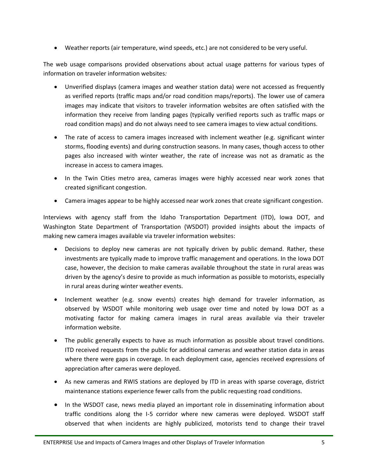Weather reports (air temperature, wind speeds, etc.) are not considered to be very useful.

The web usage comparisons provided observations about actual usage patterns for various types of information on traveler information websites*:* 

- Unverified displays (camera images and weather station data) were not accessed as frequently as verified reports (traffic maps and/or road condition maps/reports). The lower use of camera images may indicate that visitors to traveler information websites are often satisfied with the information they receive from landing pages (typically verified reports such as traffic maps or road condition maps) and do not always need to see camera images to view actual conditions.
- The rate of access to camera images increased with inclement weather (e.g. significant winter storms, flooding events) and during construction seasons. In many cases, though access to other pages also increased with winter weather, the rate of increase was not as dramatic as the increase in access to camera images.
- In the Twin Cities metro area, cameras images were highly accessed near work zones that created significant congestion.
- Camera images appear to be highly accessed near work zones that create significant congestion.

Interviews with agency staff from the Idaho Transportation Department (ITD), Iowa DOT, and Washington State Department of Transportation (WSDOT) provided insights about the impacts of making new camera images available via traveler information websites:

- Decisions to deploy new cameras are not typically driven by public demand. Rather, these investments are typically made to improve traffic management and operations. In the Iowa DOT case, however, the decision to make cameras available throughout the state in rural areas was driven by the agency's desire to provide as much information as possible to motorists, especially in rural areas during winter weather events.
- Inclement weather (e.g. snow events) creates high demand for traveler information, as observed by WSDOT while monitoring web usage over time and noted by Iowa DOT as a motivating factor for making camera images in rural areas available via their traveler information website.
- The public generally expects to have as much information as possible about travel conditions. ITD received requests from the public for additional cameras and weather station data in areas where there were gaps in coverage. In each deployment case, agencies received expressions of appreciation after cameras were deployed.
- As new cameras and RWIS stations are deployed by ITD in areas with sparse coverage, district maintenance stations experience fewer calls from the public requesting road conditions.
- In the WSDOT case, news media played an important role in disseminating information about traffic conditions along the I-5 corridor where new cameras were deployed. WSDOT staff observed that when incidents are highly publicized, motorists tend to change their travel